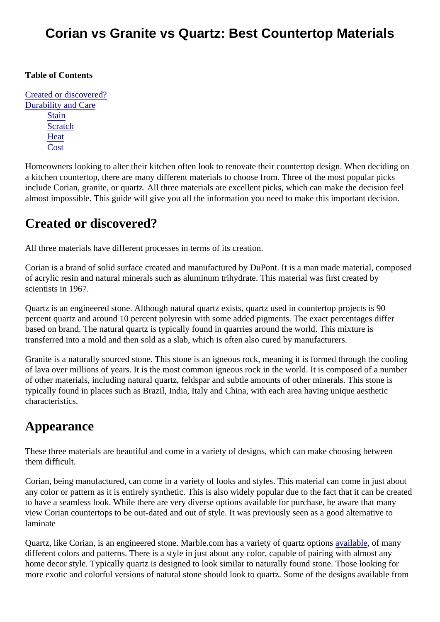#### Corian vs Granite vs Quartz: Best Countertop Materials

#### Table of Contents

Created or discovered? Durability and Care **[Stain](#page-1-0) [Scratch](#page-1-0) [Heat](#page-2-0) [Cost](#page-2-0)** 

Homeowners looking to alter their kitchen often look to renovate their countertop design. When deciding o a kitchen countertop, there are many different materials to choose from. Three of the most popular picks include Corian, granite, or quartz. All three materials are excellent picks, which can make the decision feel almost impossible. This guide will give you all the information you need to make this important decision.

#### Created or discovered?

All three materials have different processes in terms of its creation.

Corian is a brand of solid surface created and manufactured by DuPont. It is a man made material, compo of acrylic resin and natural minerals such as aluminum trihydrate. This material was first created by scientists in 1967.

Quartz is an engineered stone. Although natural quartz exists, quartz used in countertop projects is 90 percent quartz and around 10 percent polyresin with some added pigments. The exact percentages differ based on brand. The natural quartz is typically found in quarries around the world. This mixture is transferred into a mold and then sold as a slab, which is often also cured by manufacturers.

Granite is a naturally sourced stone. This stone is an igneous rock, meaning it is formed through the cooling of lava over millions of years. It is the most common igneous rock in the world. It is composed of a number of other materials, including natural quartz, feldspar and subtle amounts of other minerals. This stone is typically found in places such as Brazil, India, Italy and China, with each area having unique aesthetic characteristics.

### Appearance

These three materials are beautiful and come in a variety of designs, which can make choosing between them difficult.

Corian, being manufactured, can come in a variety of looks and styles. This material can come in just abor any color or pattern as it is entirely synthetic. This is also widely popular due to the fact that it can be creat to have a seamless look. While there are very diverse options available for purchase, be aware that many view Corian countertops to be out-dated and out of style. It was previously seen as a good alternative to laminate

Quartz, like Corian, is an engineered stone. Marble.com has a variety of quartz **applicated** of many different colors and patterns. There is a style in just about any color, capable of pairing with almost any home decor style. Typically quartz is designed to look similar to naturally found stone. Those looking for more exotic and colorful versions of natural stone should look to quartz. Some of the designs available fro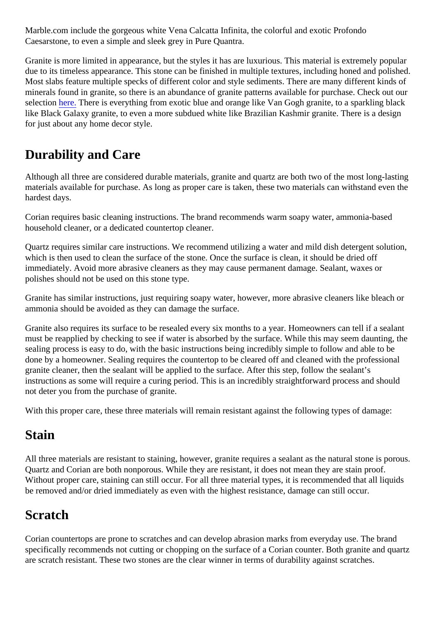<span id="page-1-0"></span>Marble.com include the gorgeous white Vena Calcatta Infinita, the colorful and exotic Profondo Caesarstone, to even a simple and sleek grey in Pure Quantra.

Granite is more limited in appearance, but the styles it has are luxurious. This material is extremely popular due to its timeless appearance. This stone can be finished in multiple textures, including honed and polish Most slabs feature multiple specks of different color and style sediments. There are many different kinds of minerals found in granite, so there is an abundance of granite patterns available for purchase. Check out our selectio[n here](https://marble.com/granite-countertops). There is everything from exotic blue and orange like Van Gogh granite, to a sparkling black like Black Galaxy granite, to even a more subdued white like Brazilian Kashmir granite. There is a design for just about any home decor style.

## Durability and Care

Although all three are considered durable materials, granite and quartz are both two of the most long-lasting materials available for purchase. As long as proper care is taken, these two materials can withstand even hardest days.

Corian requires basic cleaning instructions. The brand recommends warm soapy water, ammonia-based household cleaner, or a dedicated countertop cleaner.

Quartz requires similar care instructions. We recommend utilizing a water and mild dish detergent solution which is then used to clean the surface of the stone. Once the surface is clean, it should be dried off immediately. Avoid more abrasive cleaners as they may cause permanent damage. Sealant, waxes or polishes should not be used on this stone type.

Granite has similar instructions, just requiring soapy water, however, more abrasive cleaners like bleach o ammonia should be avoided as they can damage the surface.

Granite also requires its surface to be resealed every six months to a year. Homeowners can tell if a sealanti must be reapplied by checking to see if water is absorbed by the surface. While this may seem daunting, to sealing process is easy to do, with the basic instructions being incredibly simple to follow and able to be done by a homeowner. Sealing requires the countertop to be cleared off and cleaned with the professional granite cleaner, then the sealant will be applied to the surface. After this step, follow the sealant's instructions as some will require a curing period. This is an incredibly straightforward process and should not deter you from the purchase of granite.

With this proper care, these three materials will remain resistant against the following types of damage:

## **Stain**

All three materials are resistant to staining, however, granite requires a sealant as the natural stone is por Quartz and Corian are both nonporous. While they are resistant, it does not mean they are stain proof. Without proper care, staining can still occur. For all three material types, it is recommended that all liquids be removed and/or dried immediately as even with the highest resistance, damage can still occur.

# **Scratch**

Corian countertops are prone to scratches and can develop abrasion marks from everyday use. The brand specifically recommends not cutting or chopping on the surface of a Corian counter. Both granite and quart are scratch resistant. These two stones are the clear winner in terms of durability against scratches.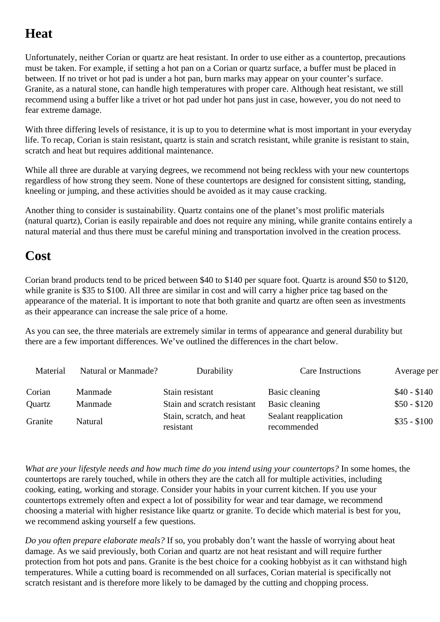# <span id="page-2-0"></span>**Heat**

Unfortunately, neither Corian or quartz are heat resistant. In order to use either as a countertop, precautions must be taken. For example, if setting a hot pan on a Corian or quartz surface, a buffer must be placed in between. If no trivet or hot pad is under a hot pan, burn marks may appear on your counter's surface. Granite, as a natural stone, can handle high temperatures with proper care. Although heat resistant, we still recommend using a buffer like a trivet or hot pad under hot pans just in case, however, you do not need to fear extreme damage.

With three differing levels of resistance, it is up to you to determine what is most important in your everyday life. To recap, Corian is stain resistant, quartz is stain and scratch resistant, while granite is resistant to stain, scratch and heat but requires additional maintenance.

While all three are durable at varying degrees, we recommend not being reckless with your new countertops regardless of how strong they seem. None of these countertops are designed for consistent sitting, standing, kneeling or jumping, and these activities should be avoided as it may cause cracking.

Another thing to consider is sustainability. Quartz contains one of the planet's most prolific materials (natural quartz), Corian is easily repairable and does not require any mining, while granite contains entirely a natural material and thus there must be careful mining and transportation involved in the creation process.

## **Cost**

Corian brand products tend to be priced between \$40 to \$140 per square foot. Quartz is around \$50 to \$120, while granite is \$35 to \$100. All three are similar in cost and will carry a higher price tag based on the appearance of the material. It is important to note that both granite and quartz are often seen as investments as their appearance can increase the sale price of a home.

As you can see, the three materials are extremely similar in terms of appearance and general durability but there are a few important differences. We've outlined the differences in the chart below.

| Material | Natural or Manmade? | Durability                            | Care Instructions                    | Average per  |
|----------|---------------------|---------------------------------------|--------------------------------------|--------------|
| Corian   | Manmade             | Stain resistant                       | Basic cleaning                       | $$40 - $140$ |
| Quartz   | Manmade             | Stain and scratch resistant           | Basic cleaning                       | $$50 - $120$ |
| Granite  | Natural             | Stain, scratch, and heat<br>resistant | Sealant reapplication<br>recommended | $$35 - $100$ |

*What are your lifestyle needs and how much time do you intend using your countertops?* In some homes, the countertops are rarely touched, while in others they are the catch all for multiple activities, including cooking, eating, working and storage. Consider your habits in your current kitchen. If you use your countertops extremely often and expect a lot of possibility for wear and tear damage, we recommend choosing a material with higher resistance like quartz or granite. To decide which material is best for you, we recommend asking yourself a few questions.

*Do you often prepare elaborate meals?* If so, you probably don't want the hassle of worrying about heat damage. As we said previously, both Corian and quartz are not heat resistant and will require further protection from hot pots and pans. Granite is the best choice for a cooking hobbyist as it can withstand high temperatures. While a cutting board is recommended on all surfaces, Corian material is specifically not scratch resistant and is therefore more likely to be damaged by the cutting and chopping process.